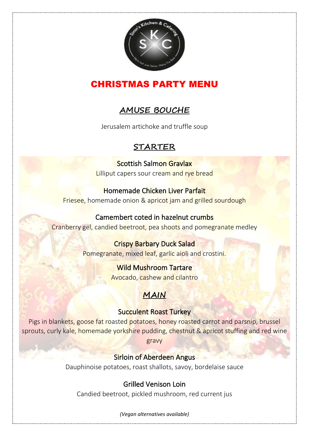

# CHRISTMAS PARTY MENU

# **AMUSE BOUCHE**

Jerusalem artichoke and truffle soup

# **STARTER**

Scottish Salmon Gravlax Lilliput capers sour cream and rye bread

## Homemade Chicken Liver Parfait Friesee, homemade onion & apricot jam and grilled sourdough

### Camembert coted in hazelnut crumbs Cranberry gel, candied beetroot, pea shoots and pomegranate medley

Crispy Barbary Duck Salad Pomegranate, mixed leaf, garlic aioli and crostini.

> Wild Mushroom Tartare Avocado, cashew and cilantro

# **MAIN**

## Succulent Roast Turkey

Pigs in blankets, goose fat roasted potatoes, honey roasted carrot and parsnip, brussel sprouts, curly kale, homemade yorkshire pudding, chestnut & apricot stuffing and red wine gravy

## Sirloin of Aberdeen Angus

Dauphinoise potatoes, roast shallots, savoy, bordelaise sauce

# Grilled Venison Loin

Candied beetroot, pickled mushroom, red current jus

*(Vegan alternatives available)*